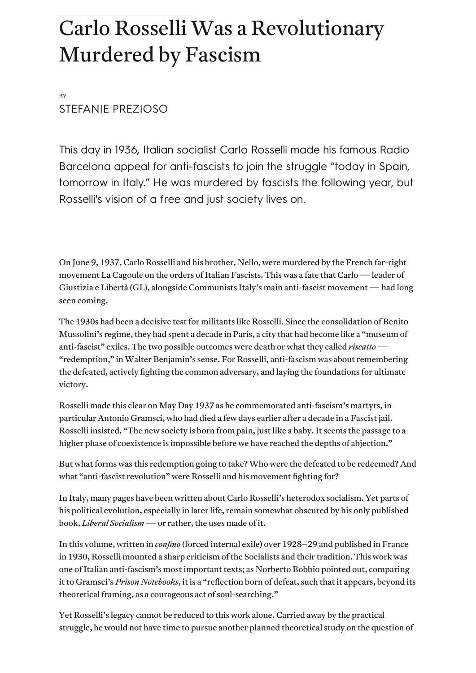# Carlo Rosselli Was a Revolutionary Murdered by Fascism

BY [STEFANIE PREZIOSO](https://jacobinmag.com/author/stefanie-prezioso)

This day in 1936, Italian socialist Carlo Rosselli made his famous Radio Barcelona appeal for anti-fascists to join the struggle "today in Spain, tomorrow in Italy." He was murdered by fascists the following year, but Rosselli's vision of a free and just society lives on.

On June 9, 1937, Carlo Rosselli and his brother, Nello, were murdered by the French far-right movement La Cagoule on the orders of Italian Fascists. This was a fate that Carlo — leader of [Giustizia e Libertà](https://www.jacobinmag.com/2017/05/italy-fascism-communist-party-world-war-two) (GL), alongside Communists Italy's main anti-fascist movement — had long seen coming.

The 1930s had been a decisive test for militants like Rosselli. Since the consolidation of Benito Mussolini's regime, they had spent a decade in Paris, a city that had become like a "museum of anti-fascist" exiles. The two possible outcomes were death or what they called *riscatto* — "redemption," in [Walter Benjamin](https://www.marxists.org/reference/archive/benjamin/1940/history.htm)'s sense. For Rosselli, anti-fascism was about remembering the defeated, actively fighting the common adversary, and laying the foundations for ultimate victory.

Rosselli made this clear on May Day 1937 as he commemorated anti-fascism's martyrs, in particular [Antonio Gramsci](https://jacobinmag.com/2021/11/antonio-gramsci-selections-prison-notebooks-fiftieth-anniversary), who had died a few days earlier after a decade in a Fascist jail. Rosselli insisted, "The new society is born from pain, just like a baby. It seems the passage to a higher phase of coexistence is impossible before we have reached the depths of abjection."

But what forms was this redemption going to take? Who were the defeated to be redeemed? And what "anti-fascist revolution" were Rosselli and his movement fighting for?

In Italy, many pages have been written about Carlo Rosselli's heterodox socialism. Yet parts of his political evolution, especially in later life, remain somewhat obscured by his only published book, *Liberal Socialism* — or rather, the uses made of it.

In this volume, written in *confino* (forced internal exile) over 1928–29 and published in France in 1930, Rosselli mounted a sharp criticism of the Socialists and their tradition. This work was one of Italian anti-fascism's most important texts; as Norberto Bobbio pointed out, comparing it to Gramsci's *Prison Notebooks*, it is a "reflection born of defeat, such that it appears, beyond its theoretical framing, as a courageous act of soul-searching."

Yet Rosselli's legacy cannot be reduced to this work alone. Carried away by the practical struggle, he would not have time to pursue another planned theoretical study on the question of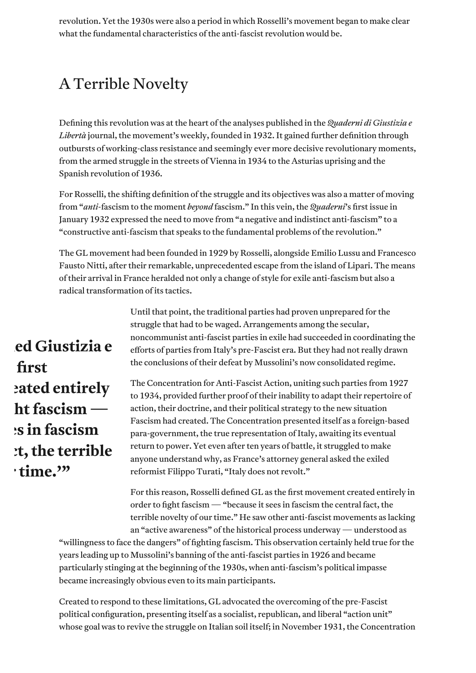revolution. Yet the 1930s were also a period in which Rosselli's movement began to make clear what the fundamental characteristics of the anti-fascist revolution would be.

# A Terrible Novelty

Defining this revolution was at the heart of the analyses published in the *Quaderni di Giustizia e Libertà* journal, the movement's weekly, founded in 1932. It gained further definition through outbursts of working-class resistance and seemingly ever more decisive revolutionary moments, from the armed struggle in the [streets of Vienna](https://jacobinmag.com/2017/02/red-vienna-austria-housing-urban-planning) in 1934 to the Asturias uprising and the Spanish revolution of 1936.

For Rosselli, the shifting definition of the struggle and its objectives was also a matter of moving from "*anti*-fascism to the moment *beyond* fascism." In this vein, the *Quaderni*'s first issue in January 1932 expressed the need to move from "a negative and indistinct anti-fascism" to a "constructive anti-fascism that speaks to the fundamental problems of the revolution."

The GL movement had been founded in 1929 by Rosselli, alongside Emilio Lussu and Francesco Fausto Nitti, after their remarkable, unprecedented escape from the island of Lipari. The means of their arrival in France heralded not only a change of style for exile anti-fascism but also a radical transformation of its tactics.

> Until that point, the traditional parties had proven unprepared for the struggle that had to be waged. Arrangements among the secular, noncommunist anti-fascist parties in exile had succeeded in coordinating the efforts of parties from Italy's pre-Fascist era. But they had not really drawn the conclusions of their defeat by Mussolini's now consolidated regime.

The Concentration for Anti-Fascist Action, uniting such parties from 1927 to 1934, provided further proof of their inability to adapt their repertoire of action, their doctrine, and their political strategy to the new situation Fascism had created. The Concentration presented itself as a foreign-based para-government, the true representation of Italy, awaiting its eventual return to power. Yet even after ten years of battle, it struggled to make anyone understand why, as France's attorney general asked the exiled reformist Filippo Turati, "Italy does not revolt."

For this reason, Rosselli defined GL as the first movement created entirely in order to fight fascism — "because it sees in fascism the central fact, the terrible novelty of our time." He saw other anti-fascist movements as lacking an "active awareness" of the historical process underway — understood as

"willingness to face the dangers" of fighting fascism. This observation certainly held true for the years leading up to Mussolini's banning of the anti-fascist parties in 1926 and became particularly stinging at the beginning of the 1930s, when anti-fascism's political impasse became increasingly obvious even to its main participants.

Created to respond to these limitations, GL advocated the overcoming of the pre-Fascist political configuration, presenting itself as a socialist, republican, and liberal "action unit" whose goal was to revive the struggle on Italian soil itself; in November 1931, the Concentration

**Rosselli defined Giustizia e first mated entirely ht fascism — :s** in fascism **t**, the terrible  $\cdot$  time.<sup>"</sup>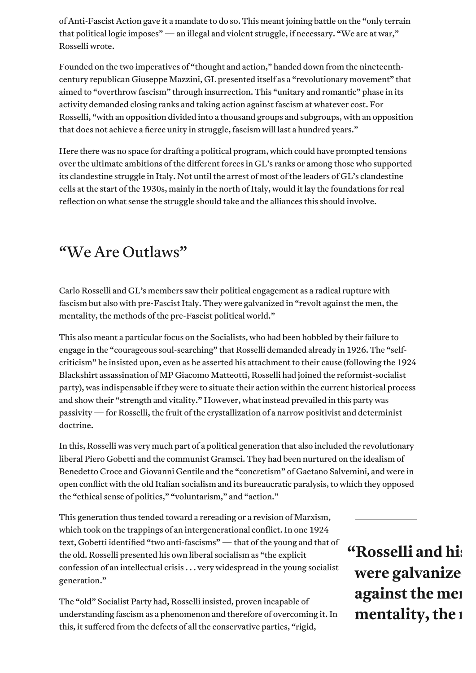of Anti-Fascist Action gave it a mandate to do so. This meant joining battle on the "only terrain that political logic imposes" — an illegal and violent struggle, if necessary. "We are at war," Rosselli wrote.

Founded on the two imperatives of "thought and action," handed down from the nineteenthcentury republican Giuseppe Mazzini, GL presented itself as a "revolutionary movement" that aimed to "overthrow fascism" through insurrection. This "unitary and romantic" phase in its activity demanded closing ranks and taking action against fascism at whatever cost. For Rosselli, "with an opposition divided into a thousand groups and subgroups, with an opposition that does not achieve a fierce unity in struggle, fascism will last a hundred years."

Here there was no space for drafting a political program, which could have prompted tensions over the ultimate ambitions of the different forces in GL's ranks or among those who supported its clandestine struggle in Italy. Not until the arrest of most of the leaders of GL's clandestine cells at the start of the 1930s, mainly in the north of Italy, would it lay the foundations for real reflection on what sense the struggle should take and the alliances this should involve.

### "We Are Outlaws"

Carlo Rosselli and GL's members saw their political engagement as a radical rupture with fascism but also with pre-Fascist Italy. They were galvanized in "revolt against the men, the mentality, the methods of the pre-Fascist political world."

This also meant a particular focus on the Socialists, who had been hobbled by their failure to engage in the "courageous soul-searching" that Rosselli demanded already in 1926. The "selfcriticism" he insisted upon, even as he asserted his attachment to their cause (following the 1924 Blackshirt assassination of MP Giacomo Matteotti, Rosselli had joined the reformist-socialist party), was indispensable if they were to situate their action within the current historical process and show their "strength and vitality." However, what instead prevailed in this party was passivity — for Rosselli, the fruit of the crystallization of a narrow positivist and determinist doctrine.

In this, Rosselli was very much part of a political generation that also included the revolutionary liberal Piero Gobetti and the communist Gramsci. They had been nurtured on the idealism of Benedetto Croce and Giovanni Gentile and the "concretism" of [Gaetano Salvemini](https://www.jacobinmag.com/2020/09/mussolini-italo-ethiopian-war-fascism-salvemini), and were in open conflict with the old Italian socialism and its bureaucratic paralysis, to which they opposed the "ethical sense of politics," "voluntarism," and "action."

This generation thus tended toward a rereading or a revision of Marxism, which took on the trappings of an intergenerational conflict. In one 1924 text, Gobetti identified "two anti-fascisms" — that of the young and that of the old. Rosselli presented his own liberal socialism as "the explicit confession of an intellectual crisis . . . very widespread in the young socialist generation."

The "old" Socialist Party had, Rosselli insisted, proven incapable of understanding fascism as a phenomenon and therefore of overcoming it. In this, it suffered from the defects of all the conservative parties, "rigid,

# **"Rosselli and his** were galvanize **against the men mentality, the**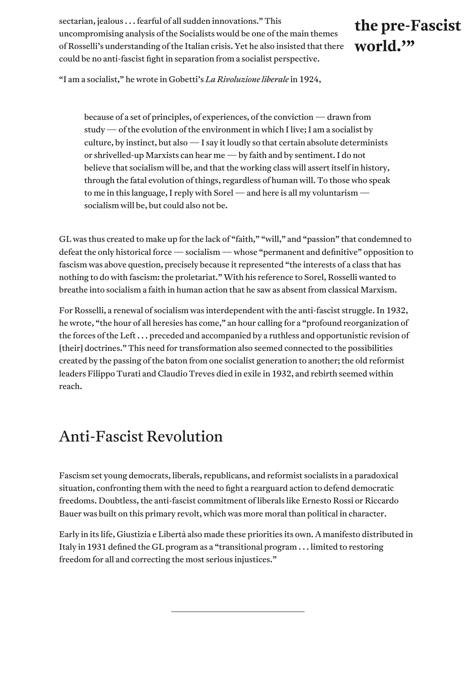sectarian, jealous . . . fearful of all sudden innovations." This uncompromising analysis of the Socialists would be one of the main themes of Rosselli's understanding of the Italian crisis. Yet he also insisted that there could be no anti-fascist fight in separation from a socialist perspective.

#### the pre-Fascist **world.'"**

"I am a socialist," he wrote in Gobetti's *La Rivoluzione liberale* in 1924,

because of a set of principles, of experiences, of the conviction — drawn from study — of the evolution of the environment in which I live; I am a socialist by culture, by instinct, but also — I say it loudly so that certain absolute determinists or shrivelled-up Marxists can hear me — by faith and by sentiment. I do not believe that socialism will be, and that the working class will assert itself in history, through the fatal evolution of things, regardless of human will. To those who speak to me in this language, I reply with Sorel — and here is all my voluntarism socialism will be, but could also not be.

GL was thus created to make up for the lack of "faith," "will," and "passion" that condemned to defeat the only historical force — socialism — whose "permanent and definitive" opposition to fascism was above question, precisely because it represented "the interests of a class that has nothing to do with fascism: the proletariat." With his reference to Sorel, Rosselli wanted to breathe into socialism a faith in human action that he saw as absent from classical Marxism.

For Rosselli, a renewal of socialism was interdependent with the anti-fascist struggle. In 1932, he wrote, "the hour of all heresies has come," an hour calling for a "profound reorganization of the forces of the Left . . . preceded and accompanied by a ruthless and opportunistic revision of [their] doctrines." This need for transformation also seemed connected to the possibilities created by the passing of the baton from one socialist generation to another; the old reformist leaders Filippo Turati and Claudio Treves died in exile in 1932, and rebirth seemed within reach.

#### Anti-Fascist Revolution

Fascism set young democrats, liberals, republicans, and reformist socialists in a paradoxical situation, confronting them with the need to fight a rearguard action to defend democratic freedoms. Doubtless, the anti-fascist commitment of liberals like Ernesto Rossi or Riccardo Bauer was built on this primary revolt, which was more moral than political in character.

Early in its life, Giustizia e Libertà also made these priorities its own. A manifesto distributed in Italy in 1931 defined the GL program as a "transitional program . . . limited to restoring freedom for all and correcting the most serious injustices."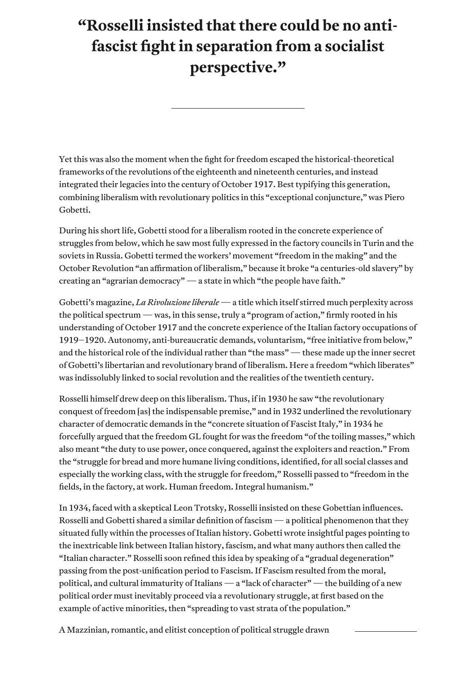### **"Rosselli insisted that there could be no antifascist fight in separation from a socialist perspective."**

Yet this was also the moment when the fight for freedom escaped the historical-theoretical frameworks of the revolutions of the eighteenth and nineteenth centuries, and instead integrated their legacies into the century of October 1917. Best typifying this generation, combining liberalism with revolutionary politics in this "exceptional conjuncture," was Piero Gobetti.

During his short life, Gobetti stood for a liberalism rooted in the concrete experience of struggles from below, which he saw most fully expressed in the factory councils in Turin and the soviets in Russia. Gobetti termed the workers' movement "freedom in the making" and the October Revolution "an affirmation of liberalism," because it broke "a centuries-old slavery" by creating an "agrarian democracy" — a state in which "the people have faith."

Gobetti's magazine, *La Rivoluzione liberale* — a title which itself stirred much perplexity across the political spectrum — was, in this sense, truly a "program of action," firmly rooted in his understanding of October 1917 and the concrete experience of the Italian factory occupations of 1919–1920. Autonomy, anti-bureaucratic demands, voluntarism, "free initiative from below," and the historical role of the individual rather than "the mass" — these made up the inner secret of Gobetti's libertarian and revolutionary brand of liberalism. Here a freedom "which liberates" was indissolubly linked to social revolution and the realities of the twentieth century.

Rosselli himself drew deep on this liberalism. Thus, if in 1930 he saw "the revolutionary conquest of freedom [as] the indispensable premise," and in 1932 underlined the revolutionary character of democratic demands in the "concrete situation of Fascist Italy," in 1934 he forcefully argued that the freedom GL fought for was the freedom "of the toiling masses," which also meant "the duty to use power, once conquered, against the exploiters and reaction." From the "struggle for bread and more humane living conditions, identified, for all social classes and especially the working class, with the struggle for freedom," Rosselli passed to "freedom in the fields, in the factory, at work. Human freedom. Integral humanism."

In 1934, faced with a skeptical Leon Trotsky, Rosselli insisted on these Gobettian influences. Rosselli and Gobetti shared a similar definition of fascism — a political phenomenon that they situated fully within the processes of Italian history. Gobetti wrote insightful pages pointing to the inextricable link between Italian history, fascism, and what many authors then called the "Italian character." Rosselli soon refined this idea by speaking of a "gradual degeneration" passing from the post-unification period to Fascism. If Fascism resulted from the moral, political, and cultural immaturity of Italians — a "lack of character" — the building of a new political order must inevitably proceed via a revolutionary struggle, at first based on the example of active minorities, then "spreading to vast strata of the population."

A Mazzinian, romantic, and elitist conception of political struggle drawn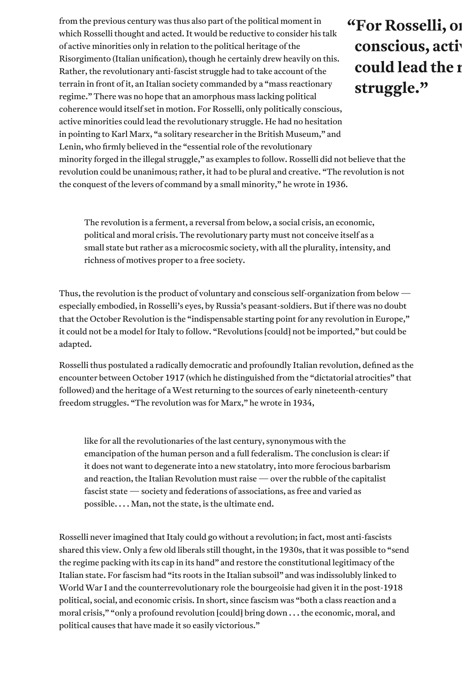from the previous century was thus also part of the political moment in which Rosselli thought and acted. It would be reductive to consider his talk of active minorities only in relation to the political heritage of the Risorgimento (Italian unification), though he certainly drew heavily on this. Rather, the revolutionary anti-fascist struggle had to take account of the terrain in front of it, an Italian society commanded by a "mass reactionary regime." There was no hope that an amorphous mass lacking political coherence would itself set in motion. For Rosselli, only politically conscious, active minorities could lead the revolutionary struggle. He had no hesitation in pointing to Karl Marx, "a solitary researcher in the British Museum," and Lenin, who firmly believed in the "essential role of the revolutionary

## "For Rosselli, 01 conscious, activ could lead the **r struggle."**

minority forged in the illegal struggle," as examples to follow. Rosselli did not believe that the revolution could be unanimous; rather, it had to be plural and creative. "The revolution is not the conquest of the levers of command by a small minority," he wrote in 1936.

The revolution is a ferment, a reversal from below, a social crisis, an economic, political and moral crisis. The revolutionary party must not conceive itself as a small state but rather as a microcosmic society, with all the plurality, intensity, and richness of motives proper to a free society.

Thus, the revolution is the product of voluntary and conscious self-organization from below especially embodied, in Rosselli's eyes, by Russia's peasant-soldiers. But if there was no doubt that the October Revolution is the "indispensable starting point for any revolution in Europe," it could not be a model for Italy to follow. "Revolutions [could] not be imported," but could be adapted.

Rosselli thus postulated a radically democratic and profoundly Italian revolution, defined as the encounter between October 1917 (which he distinguished from the "dictatorial atrocities" that followed) and the heritage of a West returning to the sources of early nineteenth-century freedom struggles. "The revolution was for Marx," he wrote in 1934,

like for all the revolutionaries of the last century, synonymous with the emancipation of the human person and a full federalism. The conclusion is clear: if it does not want to degenerate into a new statolatry, into more ferocious barbarism and reaction, the Italian Revolution must raise — over the rubble of the capitalist fascist state — society and federations of associations, as free and varied as possible. . . . Man, not the state, is the ultimate end.

Rosselli never imagined that Italy could go without a revolution; in fact, most anti-fascists shared this view. Only a few old liberals still thought, in the 1930s, that it was possible to "send the regime packing with its cap in its hand" and restore the constitutional legitimacy of the Italian state. For fascism had "its roots in the Italian subsoil" and was indissolubly linked to World War I and the counterrevolutionary role the bourgeoisie had given it in the post-1918 political, social, and economic crisis. In short, since fascism was "both a class reaction and a moral crisis," "only a profound revolution [could] bring down . . . the economic, moral, and political causes that have made it so easily victorious."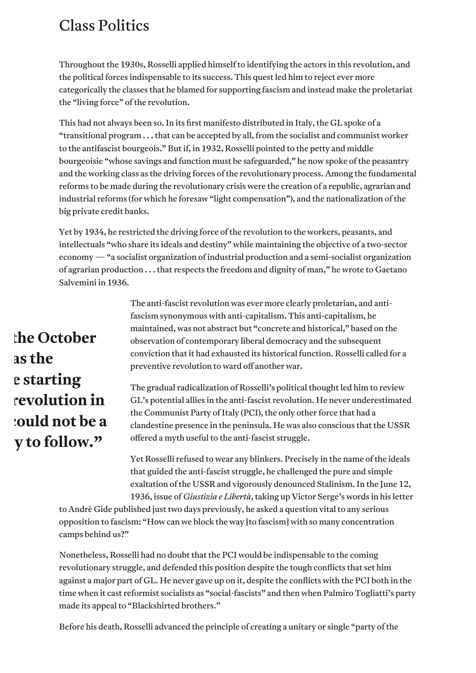#### Class Politics

Throughout the 1930s, Rosselli applied himself to identifying the actors in this revolution, and the political forces indispensable to its success. This quest led him to reject ever more categorically the classes that he blamed for supporting fascism and instead make the proletariat the "living force" of the revolution.

This had not always been so. In its first manifesto distributed in Italy, the GL spoke of a "transitional program . . . that can be accepted by all, from the socialist and communist worker to the antifascist bourgeois." But if, in 1932, Rosselli pointed to the petty and middle bourgeoisie "whose savings and function must be safeguarded," he now spoke of the peasantry and the working class as the driving forces of the revolutionary process. Among the fundamental reforms to be made during the revolutionary crisis were the creation of a republic, agrarian and industrial reforms (for which he foresaw "light compensation"), and the nationalization of the big private credit banks.

Yet by 1934, he restricted the driving force of the revolution to the workers, peasants, and intellectuals "who share its ideals and destiny" while maintaining the objective of a two-sector economy — "a socialist organization of industrial production and a semi-socialist organization of agrarian production . . . that respects the freedom and dignity of man," he wrote to Gaetano Salvemini in 1936.

# **Fhe October** as the **e** starting *<u>revolution</u>* in **Could not be a y** to follow."

The anti-fascist revolution was ever more clearly proletarian, and antifascism synonymous with anti-capitalism. This anti-capitalism, he maintained, was not abstract but "concrete and historical," based on the observation of contemporary liberal democracy and the subsequent conviction that it had exhausted its historical function. Rosselli called for a preventive revolution to ward off another war.

The gradual radicalization of Rosselli's political thought led him to review GL's potential allies in the anti-fascist revolution. He never underestimated the Communist Party of Italy (PCI), the only other force that had a clandestine presence in the peninsula. He was also conscious that the USSR offered a myth useful to the anti-fascist struggle.

Yet Rosselli refused to wear any blinkers. Precisely in the name of the ideals that guided the anti-fascist struggle, he challenged the pure and simple exaltation of the USSR and vigorously denounced Stalinism. In the June 12, 1936, issue of *Giustizia e Libertà*, taking up Victor Serge's words in his letter

to André Gide published just two days previously, he asked a question vital to any serious opposition to fascism: "How can we block the way [to fascism] with so many concentration camps behind us?"

Nonetheless, Rosselli had no doubt that the PCI would be indispensable to the coming revolutionary struggle, and defended this position despite the tough conflicts that set him against a major part of GL. He never gave up on it, despite the conflicts with the PCI both in the time when it cast reformist socialists as "social-fascists" and then when Palmiro Togliatti's party made its appeal to "Blackshirted brothers."

Before his death, Rosselli advanced the principle of creating a unitary or single "party of the